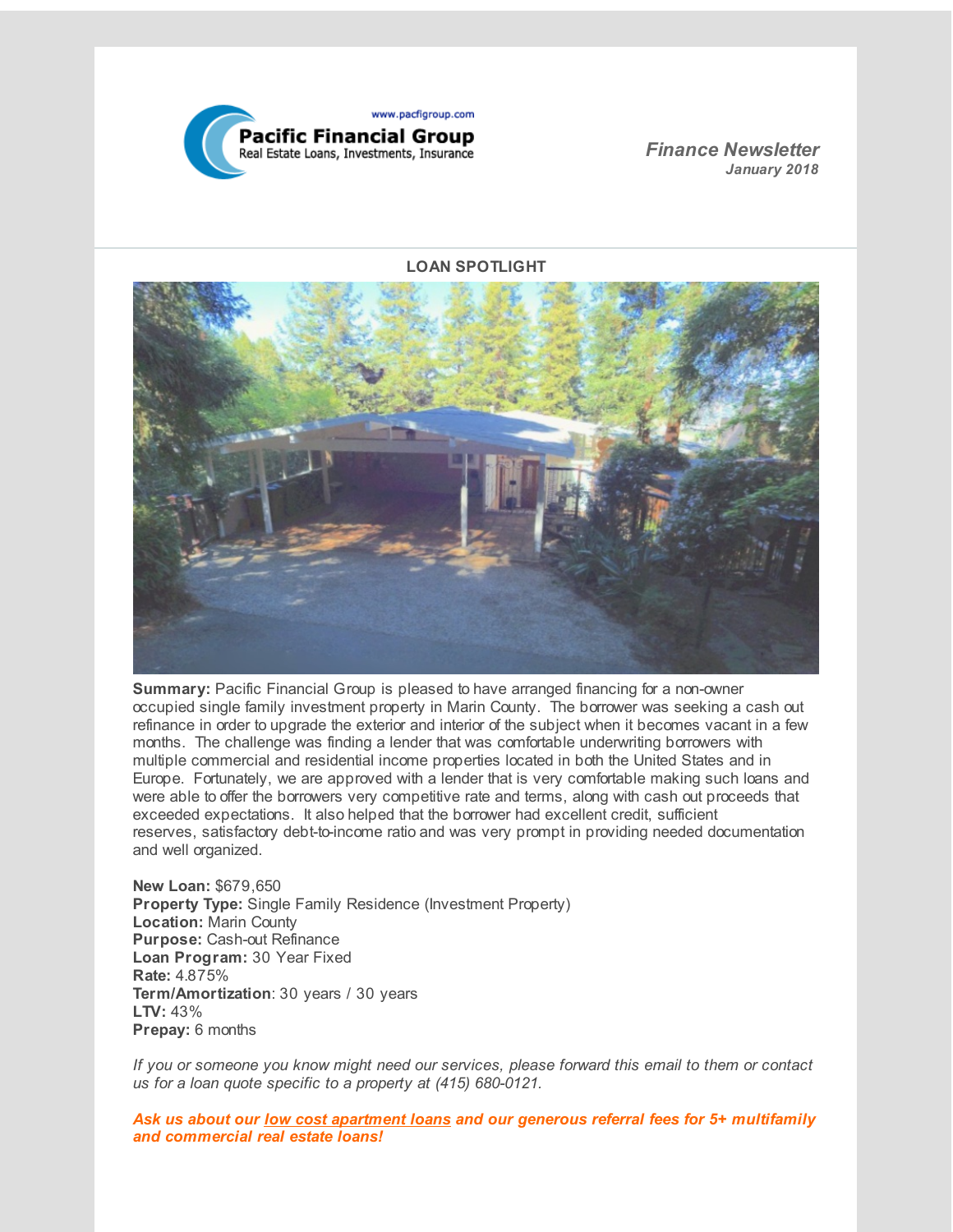

*Finance Newsletter January 2018*

**LOAN SPOTLIGHT**



**Summary:** Pacific Financial Group is pleased to have arranged financing for a non-owner occupied single family investment property in Marin County. The borrower was seeking a cash out refinance in order to upgrade the exterior and interior of the subject when it becomes vacant in a few months. The challenge was finding a lender that was comfortable underwriting borrowers with multiple commercial and residential income properties located in both the United States and in Europe. Fortunately, we are approved with a lender that is very comfortable making such loans and were able to offer the borrowers very competitive rate and terms, along with cash out proceeds that exceeded expectations. It also helped that the borrower had excellent credit, sufficient reserves, satisfactory debt-to-income ratio and was very prompt in providing needed documentation and well organized.

**New Loan:** \$679,650 **Property Type:** Single Family Residence (Investment Property) **Location:** Marin County **Purpose:** Cash-out Refinance **Loan Program:** 30 Year Fixed **Rate:** 4.875% **Term/Amortization**: 30 years / 30 years **LTV:** 43% **Prepay:** 6 months

*If you or someone you know might need our services, please forward this email to them or contact us for a loan quote specific to a property at (415) 680-0121.*

*Ask us about our low cost apartment loans and our generous referral fees for 5+ multifamily and commercial real estate loans!*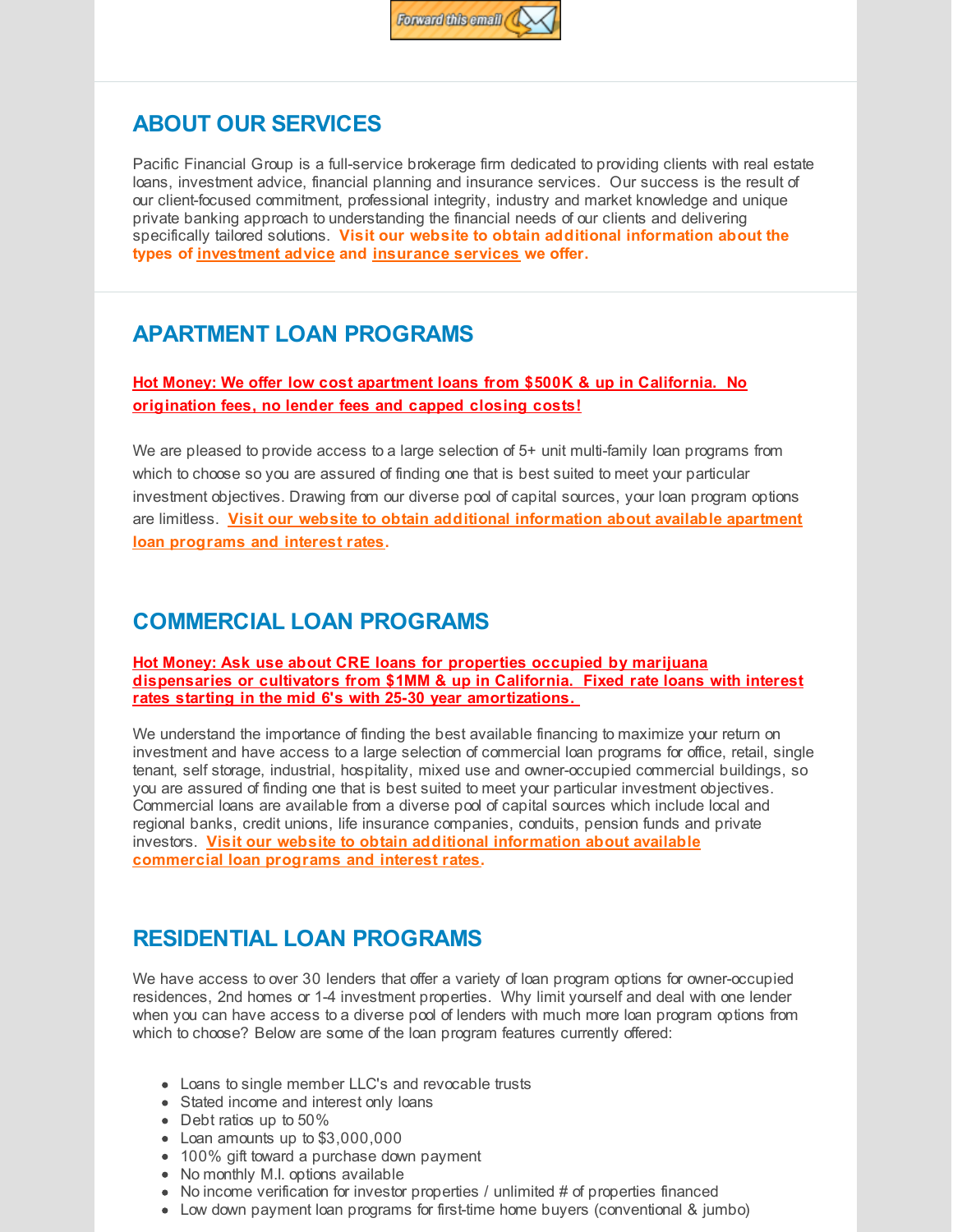

## **ABOUT OUR SERVICES**

Pacific Financial Group is a full-service brokerage firm dedicated to providing clients with real estate loans, investment advice, financial planning and insurance services. Our success is the result of our client-focused commitment, professional integrity, industry and market knowledge and unique private banking approach to understanding the financial needs of our clients and delivering specifically tailored solutions. **Visit our website to obtain additional information about the types of [investment](http://r20.rs6.net/tn.jsp?f=0012SU0E2uU2fAD-uhEDT9qVkHb3oF58gKibIPL6DqUuFK1zA1sMFldThKQD3noslk3MRXjGruih9HncivHSK4-OFu3sBo2kvk1IlADsP2W4W5vN-Lcb4OiyntKoQL1ayWcWYdJfU4S8KDpzUVrHOS-MBcNCyV71VBVVhmX5Hhb-o8K113Fm_HxmcohR2JG2jSQF0JnXq-UIUY=&c=&ch=) advice and [insurance](http://r20.rs6.net/tn.jsp?f=0012SU0E2uU2fAD-uhEDT9qVkHb3oF58gKibIPL6DqUuFK1zA1sMFldThKQD3noslk34PmKuM_3T0wqeROpOAtREUj7YpSfN9JhdA208ihgCAKUWoQkRi9U-WVeV-F1KS1bjNGR8-eXRJXBJIi4VV5mw36Ed9GfIHBBD2bKjVAGDjL-vKHqA9FnQgwqlzxsvliRDvbNwqWMYZA=&c=&ch=) services we offer.**

## **APARTMENT LOAN PROGRAMS**

**Hot Money: We offer low cost apartment loans from \$500K & up in California. No origination fees, no lender fees and capped closing costs!**

We are pleased to provide access to a large selection of 5+ unit multi-family loan programs from which to choose so you are assured of finding one that is best suited to meet your particular investment objectives. Drawing from our diverse pool of capital sources, your loan program options are limitless. **Visit our website to obtain additional [information](http://r20.rs6.net/tn.jsp?f=0012SU0E2uU2fAD-uhEDT9qVkHb3oF58gKibIPL6DqUuFK1zA1sMFldThKQD3noslk3lJvyiu55Wsz5m1wrVAXwy5LElTrcDXYxG2S7vkiBUAixNNBRxYmF7fiyUV_QlVdSeNBdtydR8eqjdXZPpjrIvn5YFpmwZiiQlT5I3ILdqmVIGWzyPuxyCc0j8G0bk7dXiw0HEUbb8Y0=&c=&ch=) about available apartment loan programs and interest rates.**

## **COMMERCIAL LOAN PROGRAMS**

**Hot Money: Ask use about CRE loans for properties occupied by marijuana dispensaries or cultivators from \$1MM & up in California. Fixed rate loans with interest rates starting in the mid 6's with 25-30 year amortizations.**

We understand the importance of finding the best available financing to maximize your return on investment and have access to a large selection of commercial loan programs for office, retail, single tenant, self storage, industrial, hospitality, mixed use and owner-occupied commercial buildings, so you are assured of finding one that is best suited to meet your particular investment objectives. Commercial loans are available from a diverse pool of capital sources which include local and regional banks, credit unions, life insurance companies, conduits, pension funds and private investors. **Visit our website to obtain additional information about available [commercial](http://r20.rs6.net/tn.jsp?f=0012SU0E2uU2fAD-uhEDT9qVkHb3oF58gKibIPL6DqUuFK1zA1sMFldThKQD3noslk3B8vav5cdriOo4CID30v3mLBP5hhRAxFPFQ_hocbzyHN6RMP9lDLSNm7KKiwZ1EpEVkxgUgySBoiZgmxZk2x9xqNa-vmDBz1dKJVcyZwfwwh9xA1rVjnAPr4SaZAJU5-6yiiVNA7zUE4=&c=&ch=) loan programs and interest rates.**

## **RESIDENTIAL LOAN PROGRAMS**

We have access to over 30 lenders that offer a variety of loan program options for owner-occupied residences, 2nd homes or 1-4 investment properties. Why limit yourself and deal with one lender when you can have access to a diverse pool of lenders with much more loan program options from which to choose? Below are some of the loan program features currently offered:

- Loans to single member LLC's and revocable trusts
- Stated income and interest only loans
- Debt ratios up to 50%
- Loan amounts up to \$3,000,000
- 100% gift toward a purchase down payment
- No monthly M.I. options available
- $\bullet$  No income verification for investor properties / unlimited # of properties financed
- Low down payment loan programs for first-time home buyers (conventional & jumbo)